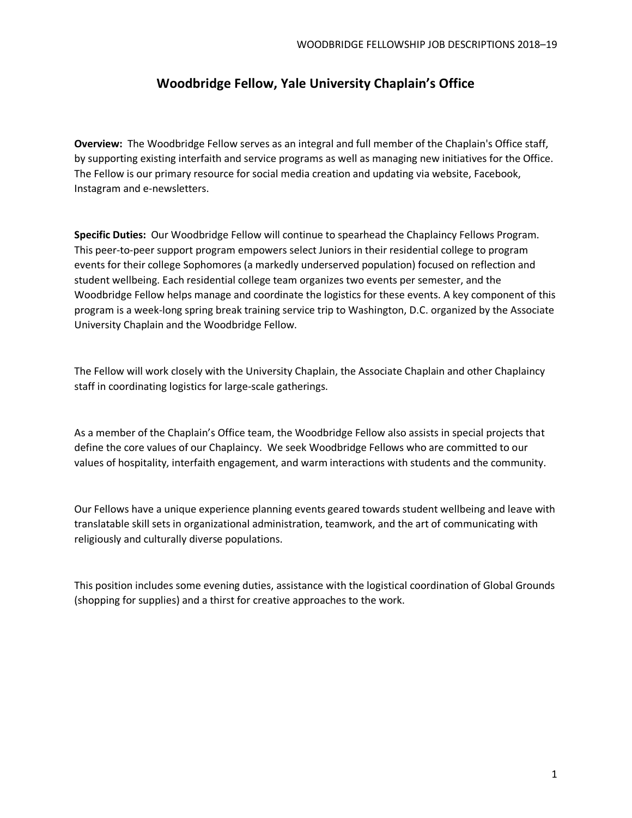# **Woodbridge Fellow, Yale University Chaplain's Office**

**Overview:** The Woodbridge Fellow serves as an integral and full member of the Chaplain's Office staff, by supporting existing interfaith and service programs as well as managing new initiatives for the Office. The Fellow is our primary resource for social media creation and updating via website, Facebook, Instagram and e-newsletters.

**Specific Duties:** Our Woodbridge Fellow will continue to spearhead the Chaplaincy Fellows Program. This peer-to-peer support program empowers select Juniors in their residential college to program events for their college Sophomores (a markedly underserved population) focused on reflection and student wellbeing. Each residential college team organizes two events per semester, and the Woodbridge Fellow helps manage and coordinate the logistics for these events. A key component of this program is a week-long spring break training service trip to Washington, D.C. organized by the Associate University Chaplain and the Woodbridge Fellow.

The Fellow will work closely with the University Chaplain, the Associate Chaplain and other Chaplaincy staff in coordinating logistics for large-scale gatherings.

As a member of the Chaplain's Office team, the Woodbridge Fellow also assists in special projects that define the core values of our Chaplaincy. We seek Woodbridge Fellows who are committed to our values of hospitality, interfaith engagement, and warm interactions with students and the community.

Our Fellows have a unique experience planning events geared towards student wellbeing and leave with translatable skill sets in organizational administration, teamwork, and the art of communicating with religiously and culturally diverse populations.

This position includes some evening duties, assistance with the logistical coordination of Global Grounds (shopping for supplies) and a thirst for creative approaches to the work.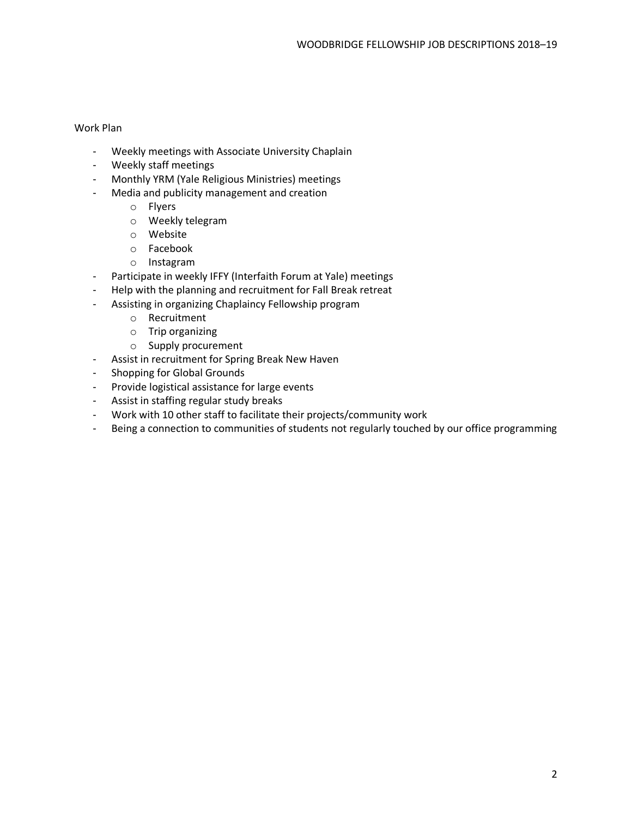# Work Plan

- Weekly meetings with Associate University Chaplain
- Weekly staff meetings
- Monthly YRM (Yale Religious Ministries) meetings
- Media and publicity management and creation
	- o Flyers
	- o Weekly telegram
	- o Website
	- o Facebook
	- o Instagram
- Participate in weekly IFFY (Interfaith Forum at Yale) meetings
- Help with the planning and recruitment for Fall Break retreat
- Assisting in organizing Chaplaincy Fellowship program
	- o Recruitment
	- o Trip organizing
	- o Supply procurement
- Assist in recruitment for Spring Break New Haven
- Shopping for Global Grounds
- Provide logistical assistance for large events
- Assist in staffing regular study breaks
- Work with 10 other staff to facilitate their projects/community work
- Being a connection to communities of students not regularly touched by our office programming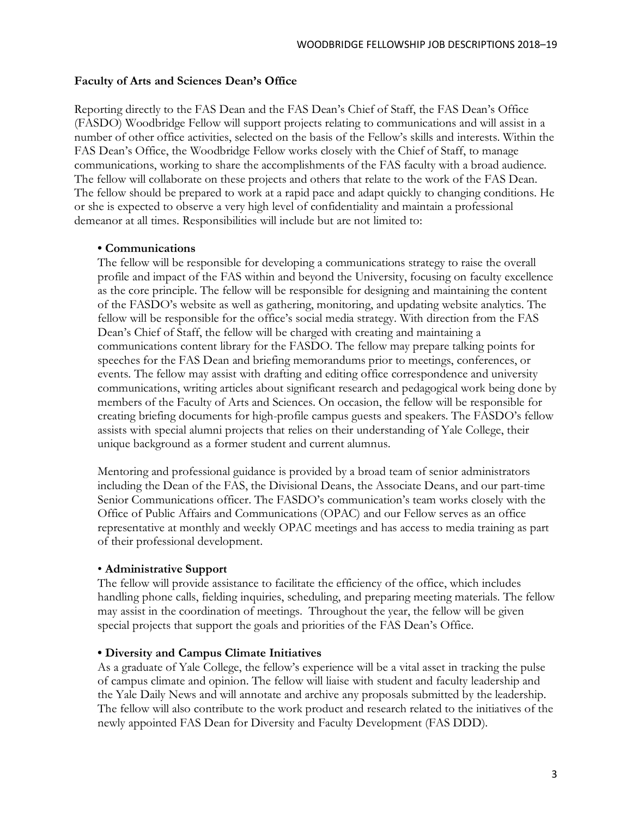# **Faculty of Arts and Sciences Dean's Office**

Reporting directly to the FAS Dean and the FAS Dean's Chief of Staff, the FAS Dean's Office (FASDO) Woodbridge Fellow will support projects relating to communications and will assist in a number of other office activities, selected on the basis of the Fellow's skills and interests. Within the FAS Dean's Office, the Woodbridge Fellow works closely with the Chief of Staff, to manage communications, working to share the accomplishments of the FAS faculty with a broad audience. The fellow will collaborate on these projects and others that relate to the work of the FAS Dean. The fellow should be prepared to work at a rapid pace and adapt quickly to changing conditions. He or she is expected to observe a very high level of confidentiality and maintain a professional demeanor at all times. Responsibilities will include but are not limited to:

# **• Communications**

The fellow will be responsible for developing a communications strategy to raise the overall profile and impact of the FAS within and beyond the University, focusing on faculty excellence as the core principle. The fellow will be responsible for designing and maintaining the content of the FASDO's website as well as gathering, monitoring, and updating website analytics. The fellow will be responsible for the office's social media strategy. With direction from the FAS Dean's Chief of Staff, the fellow will be charged with creating and maintaining a communications content library for the FASDO. The fellow may prepare talking points for speeches for the FAS Dean and briefing memorandums prior to meetings, conferences, or events. The fellow may assist with drafting and editing office correspondence and university communications, writing articles about significant research and pedagogical work being done by members of the Faculty of Arts and Sciences. On occasion, the fellow will be responsible for creating briefing documents for high-profile campus guests and speakers. The FASDO's fellow assists with special alumni projects that relies on their understanding of Yale College, their unique background as a former student and current alumnus.

Mentoring and professional guidance is provided by a broad team of senior administrators including the Dean of the FAS, the Divisional Deans, the Associate Deans, and our part-time Senior Communications officer. The FASDO's communication's team works closely with the Office of Public Affairs and Communications (OPAC) and our Fellow serves as an office representative at monthly and weekly OPAC meetings and has access to media training as part of their professional development.

# • **Administrative Support**

The fellow will provide assistance to facilitate the efficiency of the office, which includes handling phone calls, fielding inquiries, scheduling, and preparing meeting materials. The fellow may assist in the coordination of meetings. Throughout the year, the fellow will be given special projects that support the goals and priorities of the FAS Dean's Office.

# **• Diversity and Campus Climate Initiatives**

As a graduate of Yale College, the fellow's experience will be a vital asset in tracking the pulse of campus climate and opinion. The fellow will liaise with student and faculty leadership and the Yale Daily News and will annotate and archive any proposals submitted by the leadership. The fellow will also contribute to the work product and research related to the initiatives of the newly appointed FAS Dean for Diversity and Faculty Development (FAS DDD).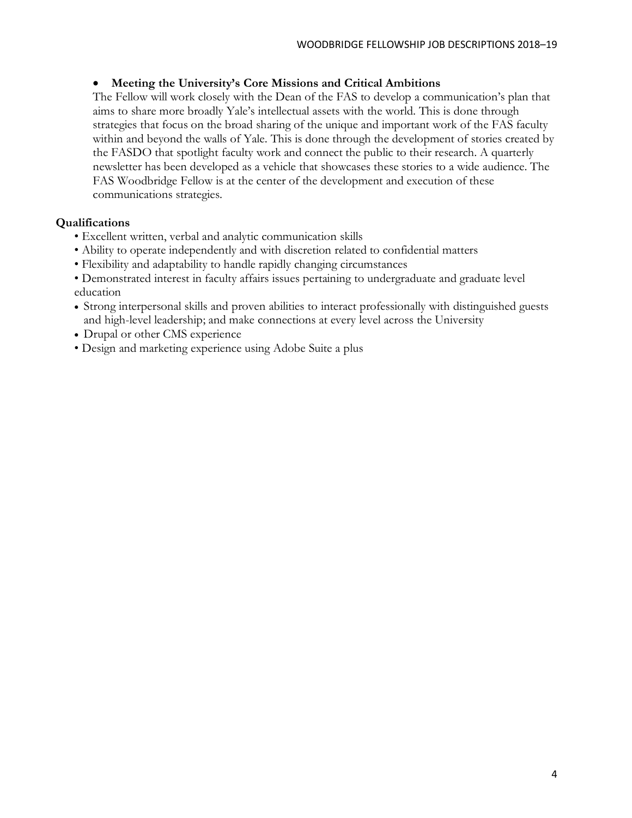# • **Meeting the University's Core Missions and Critical Ambitions**

The Fellow will work closely with the Dean of the FAS to develop a communication's plan that aims to share more broadly Yale's intellectual assets with the world. This is done through strategies that focus on the broad sharing of the unique and important work of the FAS faculty within and beyond the walls of Yale. This is done through the development of stories created by the FASDO that spotlight faculty work and connect the public to their research. A quarterly newsletter has been developed as a vehicle that showcases these stories to a wide audience. The FAS Woodbridge Fellow is at the center of the development and execution of these communications strategies.

# **Qualifications**

- Excellent written, verbal and analytic communication skills
- Ability to operate independently and with discretion related to confidential matters
- Flexibility and adaptability to handle rapidly changing circumstances
- Demonstrated interest in faculty affairs issues pertaining to undergraduate and graduate level education
- Strong interpersonal skills and proven abilities to interact professionally with distinguished guests and high-level leadership; and make connections at every level across the University
- Drupal or other CMS experience
- Design and marketing experience using Adobe Suite a plus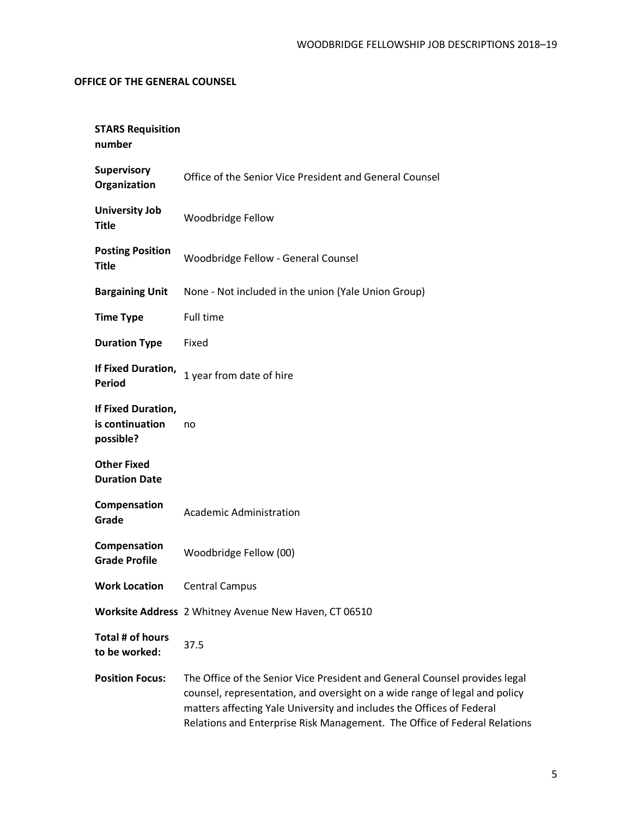# **OFFICE OF THE GENERAL COUNSEL**

| <b>STARS Requisition</b><br>number                 |                                                                                                                                                                                                                                                                                                                |
|----------------------------------------------------|----------------------------------------------------------------------------------------------------------------------------------------------------------------------------------------------------------------------------------------------------------------------------------------------------------------|
| <b>Supervisory</b><br>Organization                 | Office of the Senior Vice President and General Counsel                                                                                                                                                                                                                                                        |
| <b>University Job</b><br><b>Title</b>              | Woodbridge Fellow                                                                                                                                                                                                                                                                                              |
| <b>Posting Position</b><br><b>Title</b>            | Woodbridge Fellow - General Counsel                                                                                                                                                                                                                                                                            |
| <b>Bargaining Unit</b>                             | None - Not included in the union (Yale Union Group)                                                                                                                                                                                                                                                            |
| <b>Time Type</b>                                   | Full time                                                                                                                                                                                                                                                                                                      |
| <b>Duration Type</b>                               | Fixed                                                                                                                                                                                                                                                                                                          |
| If Fixed Duration,<br>Period                       | 1 year from date of hire                                                                                                                                                                                                                                                                                       |
| If Fixed Duration,<br>is continuation<br>possible? | no                                                                                                                                                                                                                                                                                                             |
| <b>Other Fixed</b><br><b>Duration Date</b>         |                                                                                                                                                                                                                                                                                                                |
| Compensation<br>Grade                              | <b>Academic Administration</b>                                                                                                                                                                                                                                                                                 |
| Compensation<br><b>Grade Profile</b>               | Woodbridge Fellow (00)                                                                                                                                                                                                                                                                                         |
| <b>Work Location</b>                               | <b>Central Campus</b>                                                                                                                                                                                                                                                                                          |
|                                                    | Worksite Address 2 Whitney Avenue New Haven, CT 06510                                                                                                                                                                                                                                                          |
| Total # of hours<br>to be worked:                  | 37.5                                                                                                                                                                                                                                                                                                           |
| <b>Position Focus:</b>                             | The Office of the Senior Vice President and General Counsel provides legal<br>counsel, representation, and oversight on a wide range of legal and policy<br>matters affecting Yale University and includes the Offices of Federal<br>Relations and Enterprise Risk Management. The Office of Federal Relations |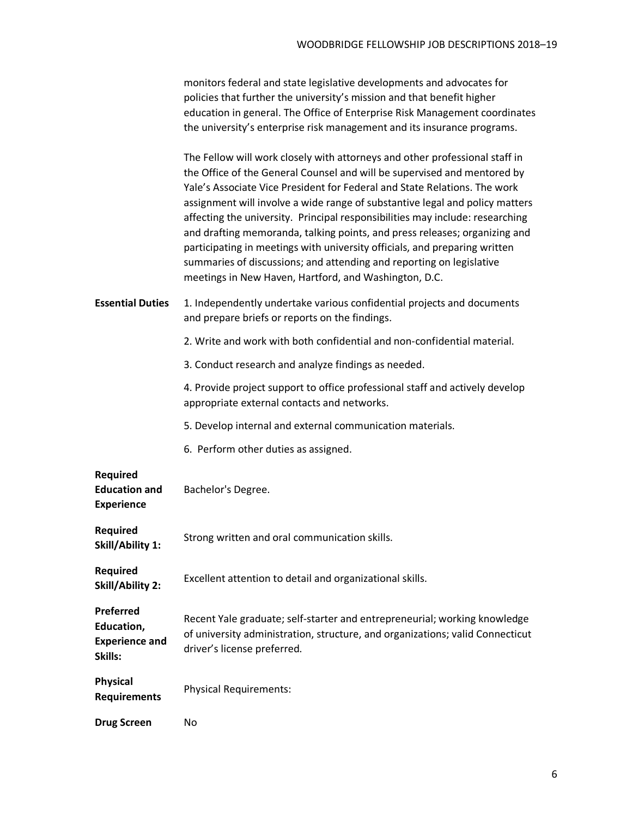monitors federal and state legislative developments and advocates for policies that further the university's mission and that benefit higher education in general. The Office of Enterprise Risk Management coordinates the university's enterprise risk management and its insurance programs.

The Fellow will work closely with attorneys and other professional staff in the Office of the General Counsel and will be supervised and mentored by Yale's Associate Vice President for Federal and State Relations. The work assignment will involve a wide range of substantive legal and policy matters affecting the university. Principal responsibilities may include: researching and drafting memoranda, talking points, and press releases; organizing and participating in meetings with university officials, and preparing written summaries of discussions; and attending and reporting on legislative meetings in New Haven, Hartford, and Washington, D.C.

- **Essential Duties** 1. Independently undertake various confidential projects and documents and prepare briefs or reports on the findings.
	- 2. Write and work with both confidential and non-confidential material.
		- 3. Conduct research and analyze findings as needed.

4. Provide project support to office professional staff and actively develop appropriate external contacts and networks.

- 5. Develop internal and external communication materials.
- 6. Perform other duties as assigned.

| <b>Required</b><br><b>Education and</b><br><b>Experience</b>       | Bachelor's Degree.                                                                                                                                                                        |
|--------------------------------------------------------------------|-------------------------------------------------------------------------------------------------------------------------------------------------------------------------------------------|
| <b>Required</b><br>Skill/Ability 1:                                | Strong written and oral communication skills.                                                                                                                                             |
| <b>Required</b><br>Skill/Ability 2:                                | Excellent attention to detail and organizational skills.                                                                                                                                  |
| <b>Preferred</b><br>Education,<br><b>Experience and</b><br>Skills: | Recent Yale graduate; self-starter and entrepreneurial; working knowledge<br>of university administration, structure, and organizations; valid Connecticut<br>driver's license preferred. |
| <b>Physical</b><br><b>Requirements</b>                             | <b>Physical Requirements:</b>                                                                                                                                                             |
| <b>Drug Screen</b>                                                 | No                                                                                                                                                                                        |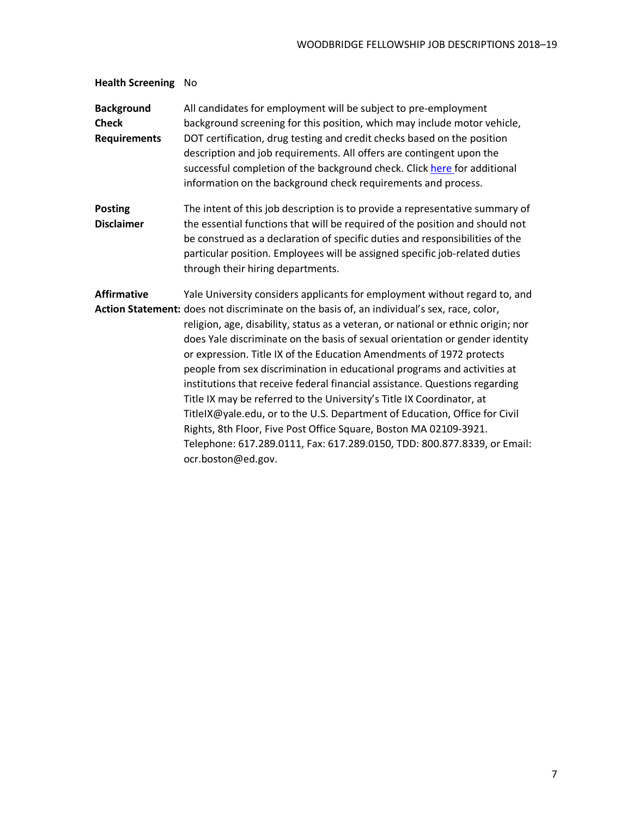| <b>Health Screening</b>                                  | No                                                                                                                                                                                                                                                                                                                                                                                                                                                                                                                                                                                                                                                                                                                                                                                                                                                                                                             |
|----------------------------------------------------------|----------------------------------------------------------------------------------------------------------------------------------------------------------------------------------------------------------------------------------------------------------------------------------------------------------------------------------------------------------------------------------------------------------------------------------------------------------------------------------------------------------------------------------------------------------------------------------------------------------------------------------------------------------------------------------------------------------------------------------------------------------------------------------------------------------------------------------------------------------------------------------------------------------------|
| <b>Background</b><br><b>Check</b><br><b>Requirements</b> | All candidates for employment will be subject to pre-employment<br>background screening for this position, which may include motor vehicle,<br>DOT certification, drug testing and credit checks based on the position<br>description and job requirements. All offers are contingent upon the<br>successful completion of the background check. Click here for additional<br>information on the background check requirements and process.                                                                                                                                                                                                                                                                                                                                                                                                                                                                    |
| <b>Posting</b><br><b>Disclaimer</b>                      | The intent of this job description is to provide a representative summary of<br>the essential functions that will be required of the position and should not<br>be construed as a declaration of specific duties and responsibilities of the<br>particular position. Employees will be assigned specific job-related duties<br>through their hiring departments.                                                                                                                                                                                                                                                                                                                                                                                                                                                                                                                                               |
| <b>Affirmative</b>                                       | Yale University considers applicants for employment without regard to, and<br>Action Statement: does not discriminate on the basis of, an individual's sex, race, color,<br>religion, age, disability, status as a veteran, or national or ethnic origin; nor<br>does Yale discriminate on the basis of sexual orientation or gender identity<br>or expression. Title IX of the Education Amendments of 1972 protects<br>people from sex discrimination in educational programs and activities at<br>institutions that receive federal financial assistance. Questions regarding<br>Title IX may be referred to the University's Title IX Coordinator, at<br>TitleIX@yale.edu, or to the U.S. Department of Education, Office for Civil<br>Rights, 8th Floor, Five Post Office Square, Boston MA 02109-3921.<br>Telephone: 617.289.0111, Fax: 617.289.0150, TDD: 800.877.8339, or Email:<br>ocr.boston@ed.gov. |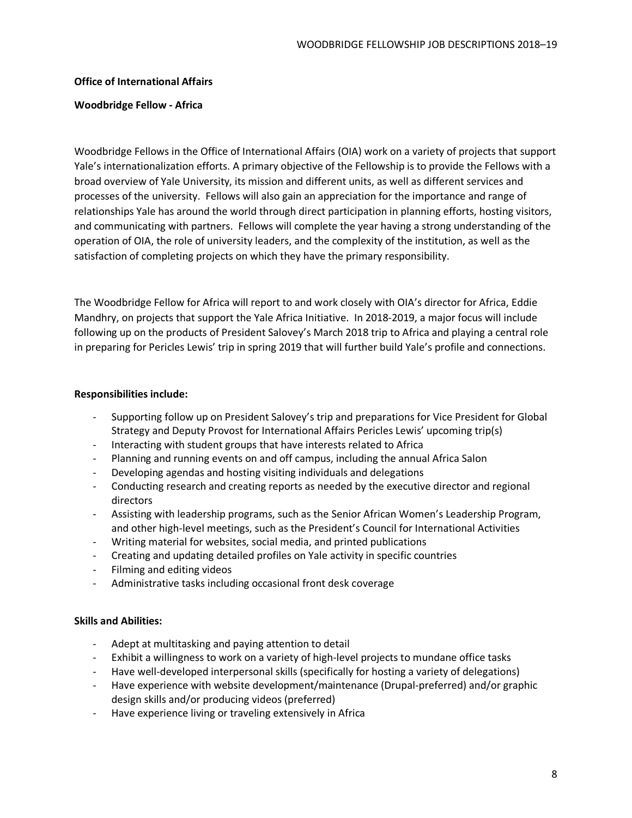#### **Office of International Affairs**

### **Woodbridge Fellow - Africa**

Woodbridge Fellows in the Office of International Affairs (OIA) work on a variety of projects that support Yale's internationalization efforts. A primary objective of the Fellowship is to provide the Fellows with a broad overview of Yale University, its mission and different units, as well as different services and processes of the university. Fellows will also gain an appreciation for the importance and range of relationships Yale has around the world through direct participation in planning efforts, hosting visitors, and communicating with partners. Fellows will complete the year having a strong understanding of the operation of OIA, the role of university leaders, and the complexity of the institution, as well as the satisfaction of completing projects on which they have the primary responsibility.

The Woodbridge Fellow for Africa will report to and work closely with OIA's director for Africa, Eddie Mandhry, on projects that support the Yale Africa Initiative. In 2018-2019, a major focus will include following up on the products of President Salovey's March 2018 trip to Africa and playing a central role in preparing for Pericles Lewis' trip in spring 2019 that will further build Yale's profile and connections.

### **Responsibilities include:**

- Supporting follow up on President Salovey's trip and preparations for Vice President for Global Strategy and Deputy Provost for International Affairs Pericles Lewis' upcoming trip(s)
- Interacting with student groups that have interests related to Africa
- Planning and running events on and off campus, including the annual Africa Salon
- Developing agendas and hosting visiting individuals and delegations
- Conducting research and creating reports as needed by the executive director and regional directors
- Assisting with leadership programs, such as the Senior African Women's Leadership Program, and other high-level meetings, such as the President's Council for International Activities
- Writing material for websites, social media, and printed publications
- Creating and updating detailed profiles on Yale activity in specific countries
- Filming and editing videos
- Administrative tasks including occasional front desk coverage

### **Skills and Abilities:**

- Adept at multitasking and paying attention to detail
- Exhibit a willingness to work on a variety of high-level projects to mundane office tasks
- Have well-developed interpersonal skills (specifically for hosting a variety of delegations)
- Have experience with website development/maintenance (Drupal-preferred) and/or graphic design skills and/or producing videos (preferred)
- Have experience living or traveling extensively in Africa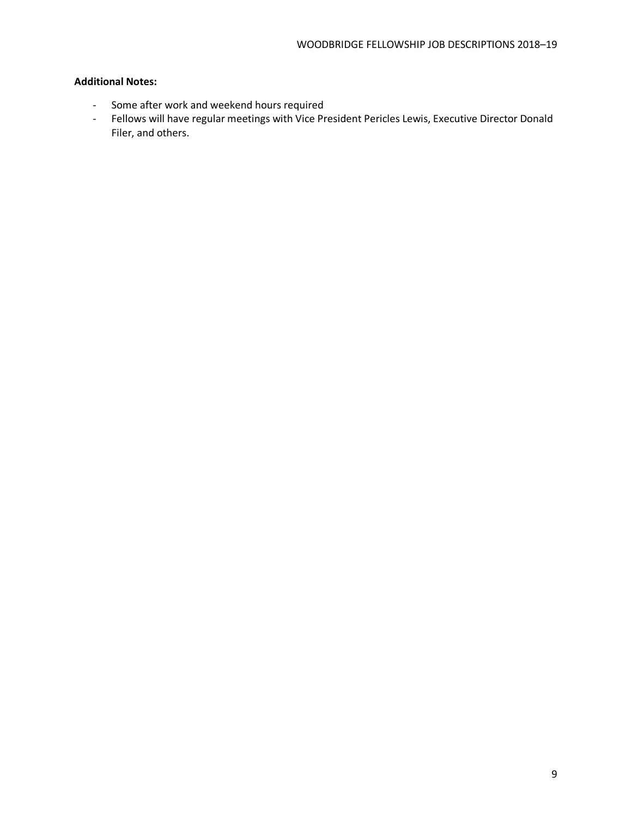# **Additional Notes:**

- Some after work and weekend hours required
- Fellows will have regular meetings with Vice President Pericles Lewis, Executive Director Donald Filer, and others.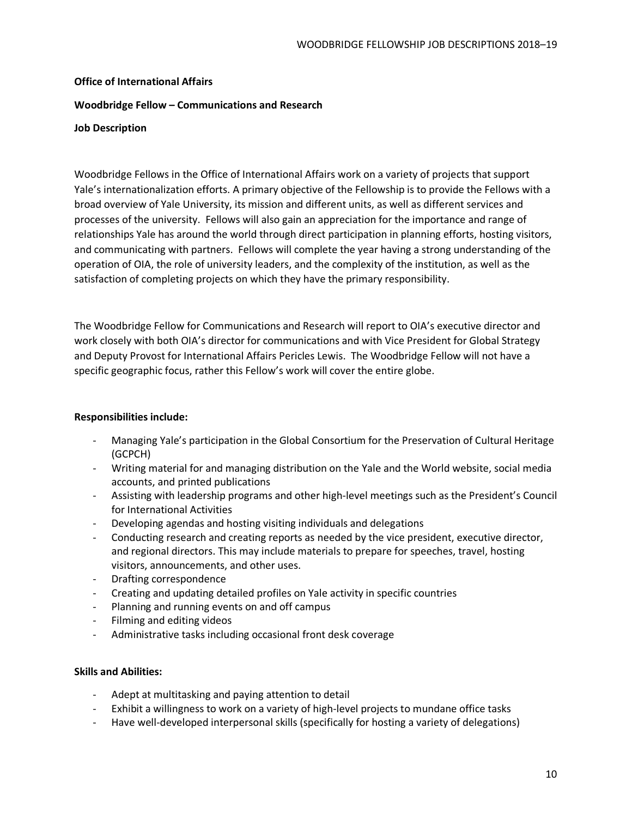#### **Office of International Affairs**

### **Woodbridge Fellow – Communications and Research**

#### **Job Description**

Woodbridge Fellows in the Office of International Affairs work on a variety of projects that support Yale's internationalization efforts. A primary objective of the Fellowship is to provide the Fellows with a broad overview of Yale University, its mission and different units, as well as different services and processes of the university. Fellows will also gain an appreciation for the importance and range of relationships Yale has around the world through direct participation in planning efforts, hosting visitors, and communicating with partners. Fellows will complete the year having a strong understanding of the operation of OIA, the role of university leaders, and the complexity of the institution, as well as the satisfaction of completing projects on which they have the primary responsibility.

The Woodbridge Fellow for Communications and Research will report to OIA's executive director and work closely with both OIA's director for communications and with Vice President for Global Strategy and Deputy Provost for International Affairs Pericles Lewis. The Woodbridge Fellow will not have a specific geographic focus, rather this Fellow's work will cover the entire globe.

# **Responsibilities include:**

- Managing Yale's participation in the Global Consortium for the Preservation of Cultural Heritage (GCPCH)
- Writing material for and managing distribution on the Yale and the World website, social media accounts, and printed publications
- Assisting with leadership programs and other high-level meetings such as the President's Council for International Activities
- Developing agendas and hosting visiting individuals and delegations
- Conducting research and creating reports as needed by the vice president, executive director, and regional directors. This may include materials to prepare for speeches, travel, hosting visitors, announcements, and other uses.
- Drafting correspondence
- Creating and updating detailed profiles on Yale activity in specific countries
- Planning and running events on and off campus
- Filming and editing videos
- Administrative tasks including occasional front desk coverage

### **Skills and Abilities:**

- Adept at multitasking and paying attention to detail
- Exhibit a willingness to work on a variety of high-level projects to mundane office tasks
- Have well-developed interpersonal skills (specifically for hosting a variety of delegations)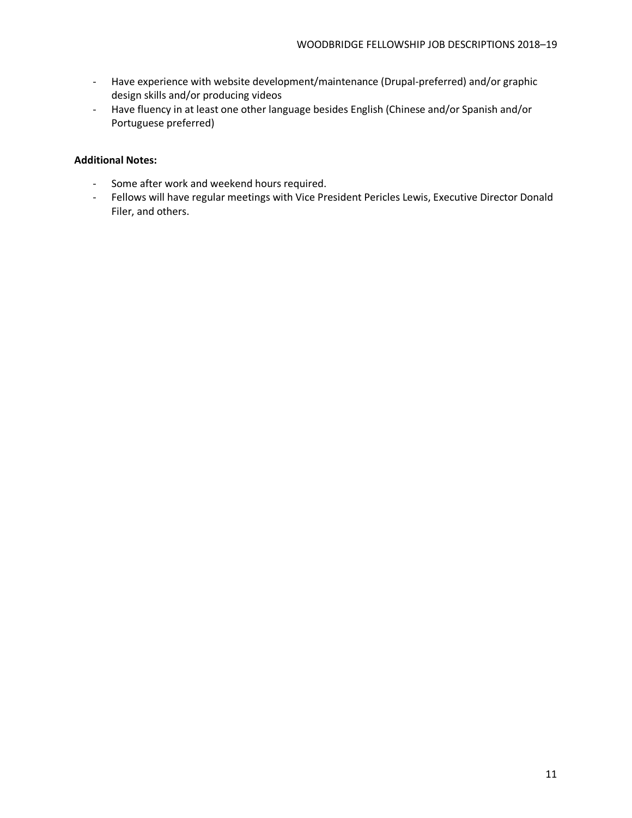- Have experience with website development/maintenance (Drupal-preferred) and/or graphic design skills and/or producing videos
- Have fluency in at least one other language besides English (Chinese and/or Spanish and/or Portuguese preferred)

# **Additional Notes:**

- Some after work and weekend hours required.
- Fellows will have regular meetings with Vice President Pericles Lewis, Executive Director Donald Filer, and others.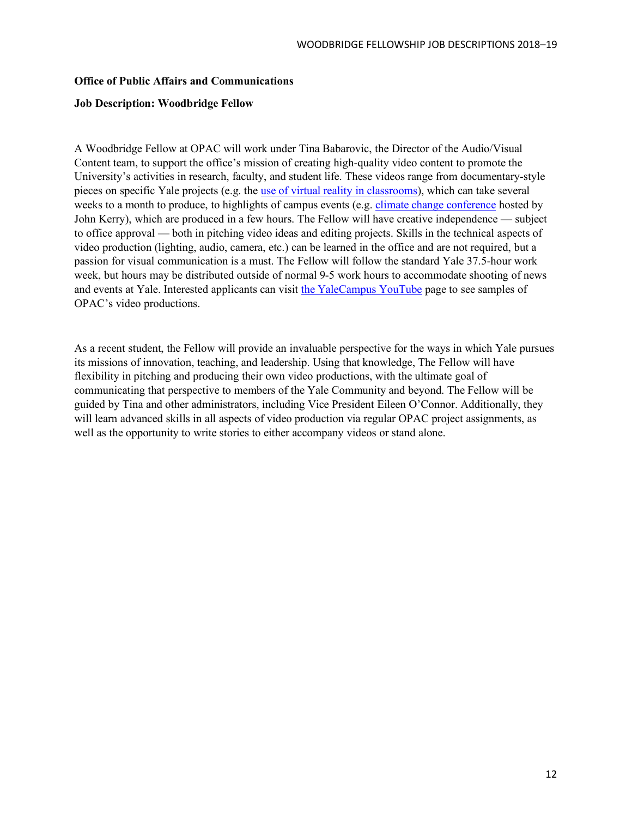## **Office of Public Affairs and Communications**

#### **Job Description: Woodbridge Fellow**

A Woodbridge Fellow at OPAC will work under Tina Babarovic, the Director of the Audio/Visual Content team, to support the office's mission of creating high-quality video content to promote the University's activities in research, faculty, and student life. These videos range from documentary-style pieces on specific Yale projects (e.g. the use of virtual reality in classrooms), which can take several weeks to a month to produce, to highlights of campus events (e.g. climate change conference hosted by John Kerry), which are produced in a few hours. The Fellow will have creative independence — subject to office approval — both in pitching video ideas and editing projects. Skills in the technical aspects of video production (lighting, audio, camera, etc.) can be learned in the office and are not required, but a passion for visual communication is a must. The Fellow will follow the standard Yale 37.5-hour work week, but hours may be distributed outside of normal 9-5 work hours to accommodate shooting of news and events at Yale. Interested applicants can visit the YaleCampus YouTube page to see samples of OPAC's video productions.

As a recent student, the Fellow will provide an invaluable perspective for the ways in which Yale pursues its missions of innovation, teaching, and leadership. Using that knowledge, The Fellow will have flexibility in pitching and producing their own video productions, with the ultimate goal of communicating that perspective to members of the Yale Community and beyond. The Fellow will be guided by Tina and other administrators, including Vice President Eileen O'Connor. Additionally, they will learn advanced skills in all aspects of video production via regular OPAC project assignments, as well as the opportunity to write stories to either accompany videos or stand alone.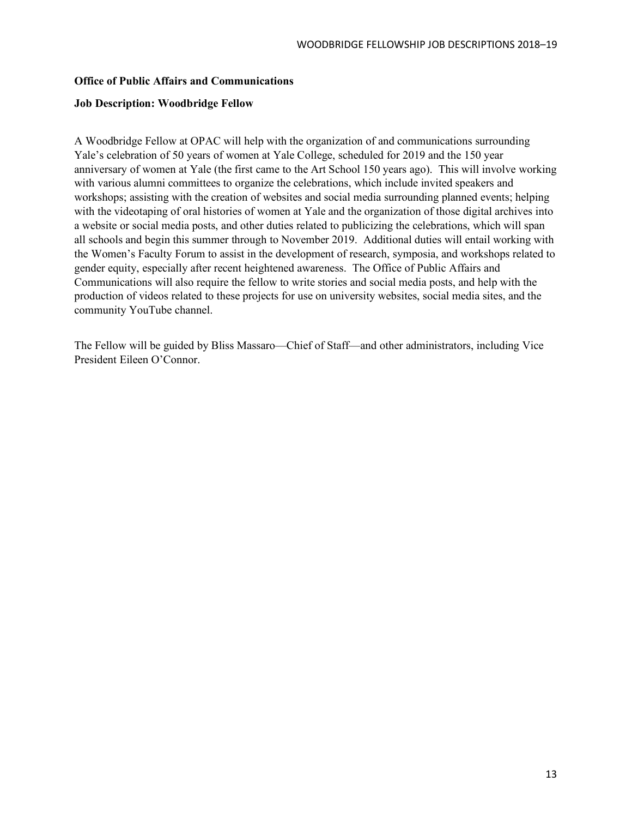## **Office of Public Affairs and Communications**

### **Job Description: Woodbridge Fellow**

A Woodbridge Fellow at OPAC will help with the organization of and communications surrounding Yale's celebration of 50 years of women at Yale College, scheduled for 2019 and the 150 year anniversary of women at Yale (the first came to the Art School 150 years ago). This will involve working with various alumni committees to organize the celebrations, which include invited speakers and workshops; assisting with the creation of websites and social media surrounding planned events; helping with the videotaping of oral histories of women at Yale and the organization of those digital archives into a website or social media posts, and other duties related to publicizing the celebrations, which will span all schools and begin this summer through to November 2019. Additional duties will entail working with the Women's Faculty Forum to assist in the development of research, symposia, and workshops related to gender equity, especially after recent heightened awareness. The Office of Public Affairs and Communications will also require the fellow to write stories and social media posts, and help with the production of videos related to these projects for use on university websites, social media sites, and the community YouTube channel.

The Fellow will be guided by Bliss Massaro—Chief of Staff—and other administrators, including Vice President Eileen O'Connor.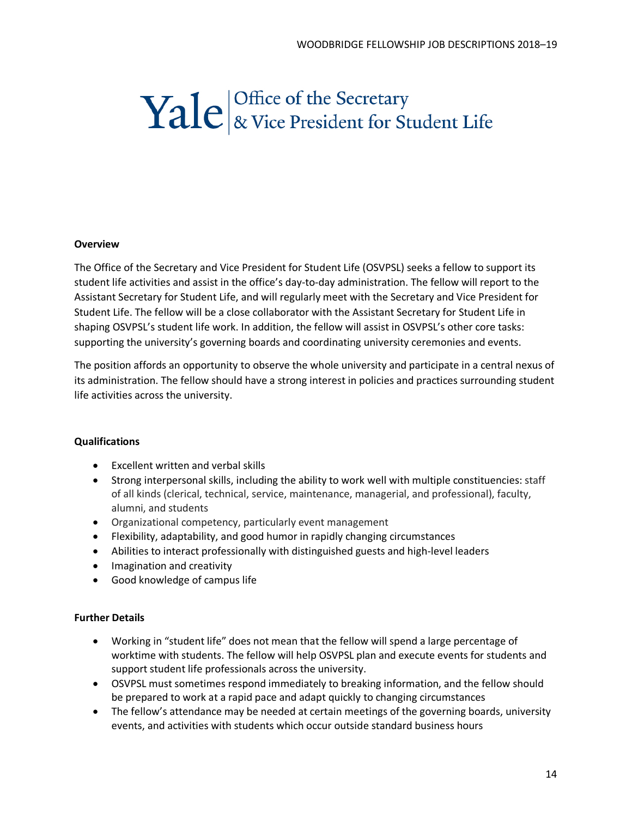# **Yale** & Vice President for Student Life

### **Overview**

The Office of the Secretary and Vice President for Student Life (OSVPSL) seeks a fellow to support its student life activities and assist in the office's day-to-day administration. The fellow will report to the Assistant Secretary for Student Life, and will regularly meet with the Secretary and Vice President for Student Life. The fellow will be a close collaborator with the Assistant Secretary for Student Life in shaping OSVPSL's student life work. In addition, the fellow will assist in OSVPSL's other core tasks: supporting the university's governing boards and coordinating university ceremonies and events.

The position affords an opportunity to observe the whole university and participate in a central nexus of its administration. The fellow should have a strong interest in policies and practices surrounding student life activities across the university.

# **Qualifications**

- Excellent written and verbal skills
- Strong interpersonal skills, including the ability to work well with multiple constituencies: staff of all kinds (clerical, technical, service, maintenance, managerial, and professional), faculty, alumni, and students
- Organizational competency, particularly event management
- Flexibility, adaptability, and good humor in rapidly changing circumstances
- Abilities to interact professionally with distinguished guests and high-level leaders
- Imagination and creativity
- Good knowledge of campus life

# **Further Details**

- Working in "student life" does not mean that the fellow will spend a large percentage of worktime with students. The fellow will help OSVPSL plan and execute events for students and support student life professionals across the university.
- OSVPSL must sometimes respond immediately to breaking information, and the fellow should be prepared to work at a rapid pace and adapt quickly to changing circumstances
- The fellow's attendance may be needed at certain meetings of the governing boards, university events, and activities with students which occur outside standard business hours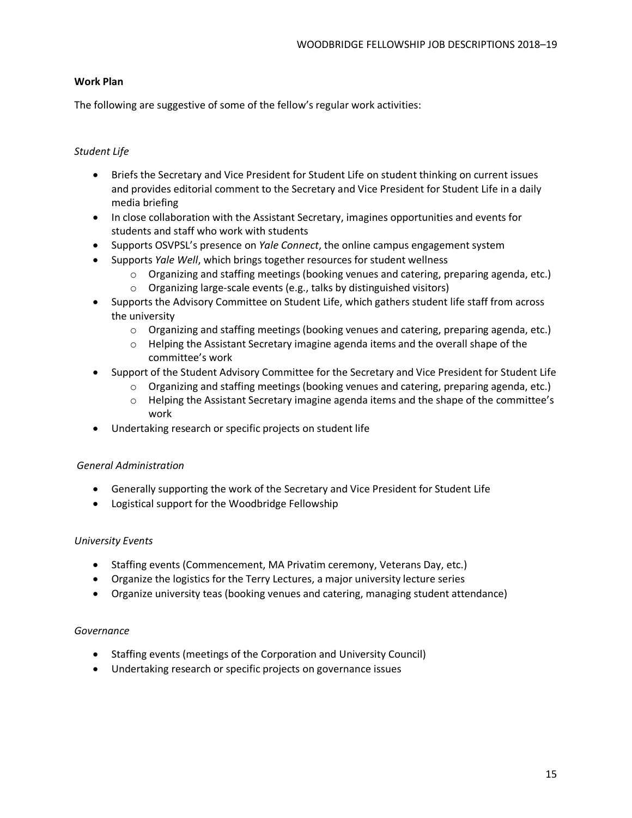# **Work Plan**

The following are suggestive of some of the fellow's regular work activities:

# *Student Life*

- Briefs the Secretary and Vice President for Student Life on student thinking on current issues and provides editorial comment to the Secretary and Vice President for Student Life in a daily media briefing
- In close collaboration with the Assistant Secretary, imagines opportunities and events for students and staff who work with students
- Supports OSVPSL's presence on *Yale Connect*, the online campus engagement system
- Supports *Yale Well*, which brings together resources for student wellness
	- $\circ$  Organizing and staffing meetings (booking venues and catering, preparing agenda, etc.)
	- o Organizing large-scale events (e.g., talks by distinguished visitors)
- Supports the Advisory Committee on Student Life, which gathers student life staff from across the university
	- $\circ$  Organizing and staffing meetings (booking venues and catering, preparing agenda, etc.)
	- $\circ$  Helping the Assistant Secretary imagine agenda items and the overall shape of the committee's work
- Support of the Student Advisory Committee for the Secretary and Vice President for Student Life
	- $\circ$  Organizing and staffing meetings (booking venues and catering, preparing agenda, etc.)
		- $\circ$  Helping the Assistant Secretary imagine agenda items and the shape of the committee's work
- Undertaking research or specific projects on student life

# *General Administration*

- Generally supporting the work of the Secretary and Vice President for Student Life
- Logistical support for the Woodbridge Fellowship

# *University Events*

- Staffing events (Commencement, MA Privatim ceremony, Veterans Day, etc.)
- Organize the logistics for the Terry Lectures, a major university lecture series
- Organize university teas (booking venues and catering, managing student attendance)

# *Governance*

- Staffing events (meetings of the Corporation and University Council)
- Undertaking research or specific projects on governance issues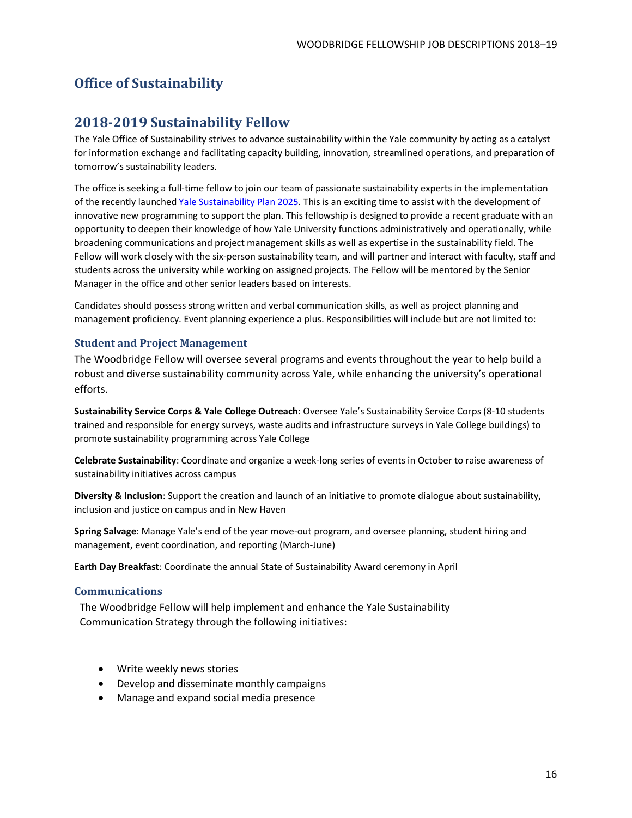# **Office of Sustainability**

# **2018-2019 Sustainability Fellow**

The Yale Office of Sustainability strives to advance sustainability within the Yale community by acting as a catalyst for information exchange and facilitating capacity building, innovation, streamlined operations, and preparation of tomorrow's sustainability leaders.

The office is seeking a full-time fellow to join our team of passionate sustainability experts in the implementation of the recently launched Yale Sustainability Plan 2025*.* This is an exciting time to assist with the development of innovative new programming to support the plan. This fellowship is designed to provide a recent graduate with an opportunity to deepen their knowledge of how Yale University functions administratively and operationally, while broadening communications and project management skills as well as expertise in the sustainability field. The Fellow will work closely with the six-person sustainability team, and will partner and interact with faculty, staff and students across the university while working on assigned projects. The Fellow will be mentored by the Senior Manager in the office and other senior leaders based on interests.

Candidates should possess strong written and verbal communication skills, as well as project planning and management proficiency. Event planning experience a plus. Responsibilities will include but are not limited to:

### **Student and Project Management**

The Woodbridge Fellow will oversee several programs and events throughout the year to help build a robust and diverse sustainability community across Yale, while enhancing the university's operational efforts.

**Sustainability Service Corps & Yale College Outreach**: Oversee Yale's Sustainability Service Corps (8-10 students trained and responsible for energy surveys, waste audits and infrastructure surveys in Yale College buildings) to promote sustainability programming across Yale College

**Celebrate Sustainability**: Coordinate and organize a week-long series of events in October to raise awareness of sustainability initiatives across campus

**Diversity & Inclusion**: Support the creation and launch of an initiative to promote dialogue about sustainability, inclusion and justice on campus and in New Haven

**Spring Salvage**: Manage Yale's end of the year move-out program, and oversee planning, student hiring and management, event coordination, and reporting (March-June)

**Earth Day Breakfast**: Coordinate the annual State of Sustainability Award ceremony in April

#### **Communications**

The Woodbridge Fellow will help implement and enhance the Yale Sustainability Communication Strategy through the following initiatives:

- Write weekly news stories
- Develop and disseminate monthly campaigns
- Manage and expand social media presence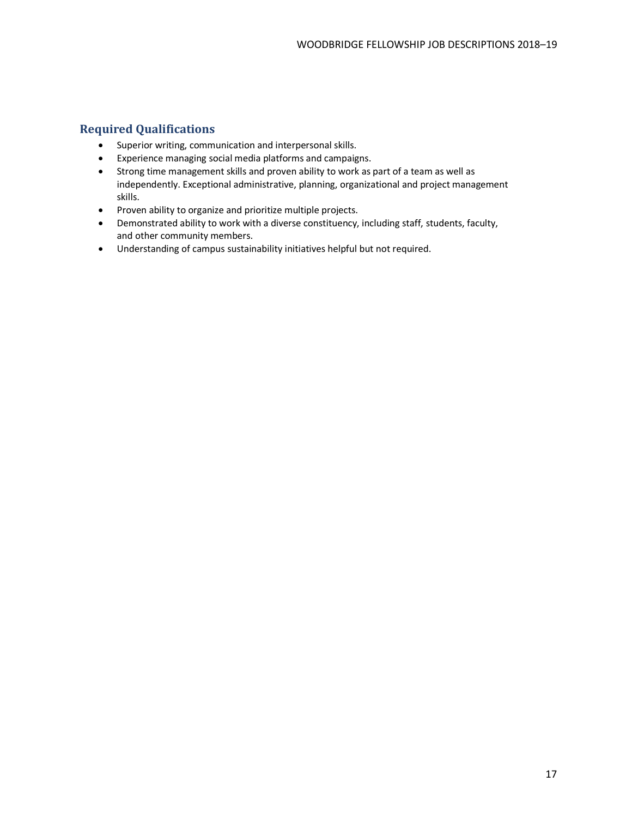# **Required Qualifications**

- Superior writing, communication and interpersonal skills.
- Experience managing social media platforms and campaigns.
- Strong time management skills and proven ability to work as part of a team as well as independently. Exceptional administrative, planning, organizational and project management skills.
- Proven ability to organize and prioritize multiple projects.
- Demonstrated ability to work with a diverse constituency, including staff, students, faculty, and other community members.
- Understanding of campus sustainability initiatives helpful but not required.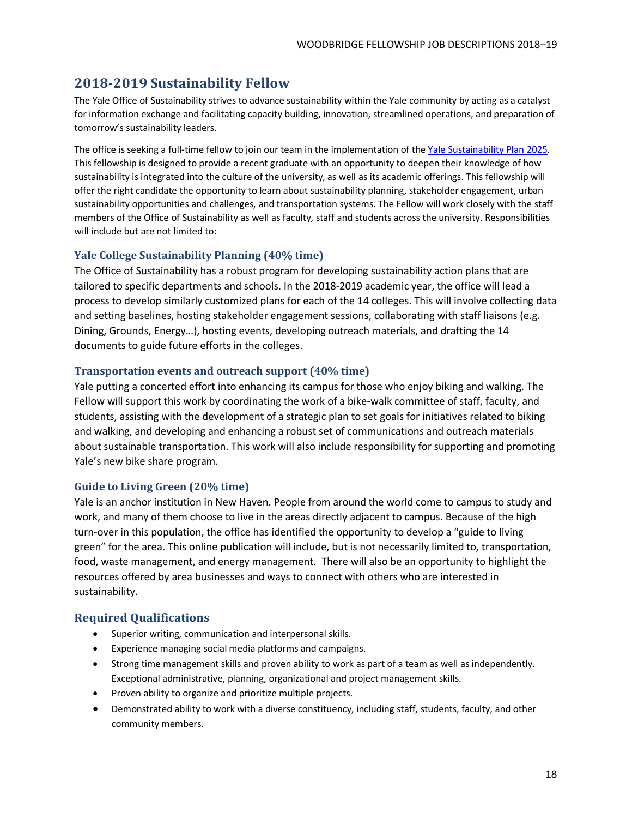# **2018-2019 Sustainability Fellow**

The Yale Office of Sustainability strives to advance sustainability within the Yale community by acting as a catalyst for information exchange and facilitating capacity building, innovation, streamlined operations, and preparation of tomorrow's sustainability leaders.

The office is seeking a full-time fellow to join our team in the implementation of the Yale Sustainability Plan 2025*.* This fellowship is designed to provide a recent graduate with an opportunity to deepen their knowledge of how sustainability is integrated into the culture of the university, as well as its academic offerings. This fellowship will offer the right candidate the opportunity to learn about sustainability planning, stakeholder engagement, urban sustainability opportunities and challenges, and transportation systems. The Fellow will work closely with the staff members of the Office of Sustainability as well as faculty, staff and students across the university. Responsibilities will include but are not limited to:

# **Yale College Sustainability Planning (40% time)**

The Office of Sustainability has a robust program for developing sustainability action plans that are tailored to specific departments and schools. In the 2018-2019 academic year, the office will lead a process to develop similarly customized plans for each of the 14 colleges. This will involve collecting data and setting baselines, hosting stakeholder engagement sessions, collaborating with staff liaisons (e.g. Dining, Grounds, Energy…), hosting events, developing outreach materials, and drafting the 14 documents to guide future efforts in the colleges.

#### **Transportation events and outreach support (40% time)**

Yale putting a concerted effort into enhancing its campus for those who enjoy biking and walking. The Fellow will support this work by coordinating the work of a bike-walk committee of staff, faculty, and students, assisting with the development of a strategic plan to set goals for initiatives related to biking and walking, and developing and enhancing a robust set of communications and outreach materials about sustainable transportation. This work will also include responsibility for supporting and promoting Yale's new bike share program.

# Guide to Living Green (20% time)

Yale is an anchor institution in New Haven. People from around the world come to campus to study and work, and many of them choose to live in the areas directly adjacent to campus. Because of the high turn-over in this population, the office has identified the opportunity to develop a "guide to living green" for the area. This online publication will include, but is not necessarily limited to, transportation, food, waste management, and energy management. There will also be an opportunity to highlight the resources offered by area businesses and ways to connect with others who are interested in sustainability.

# **Required Qualifications**

- Superior writing, communication and interpersonal skills.
- Experience managing social media platforms and campaigns.
- Strong time management skills and proven ability to work as part of a team as well as independently. Exceptional administrative, planning, organizational and project management skills.
- Proven ability to organize and prioritize multiple projects.
- Demonstrated ability to work with a diverse constituency, including staff, students, faculty, and other community members.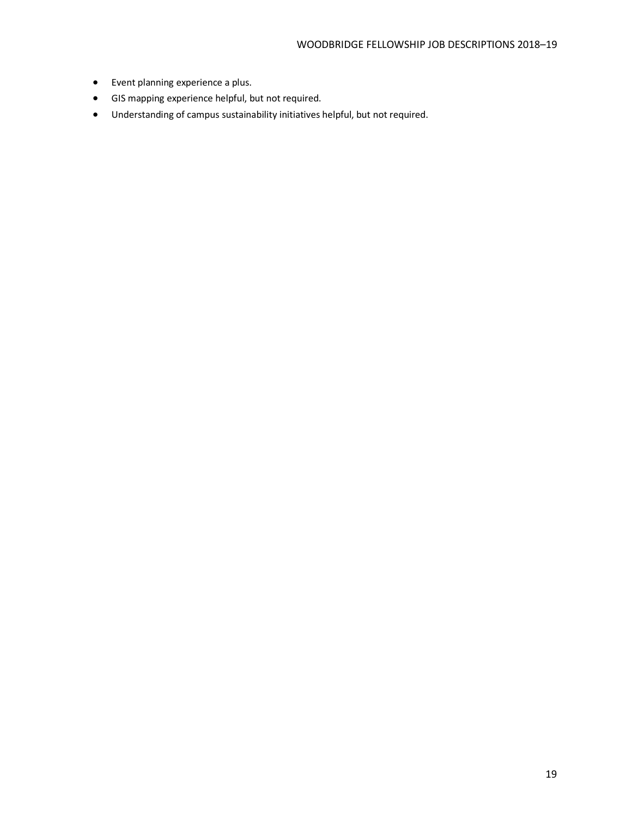- Event planning experience a plus.
- GIS mapping experience helpful, but not required.
- Understanding of campus sustainability initiatives helpful, but not required.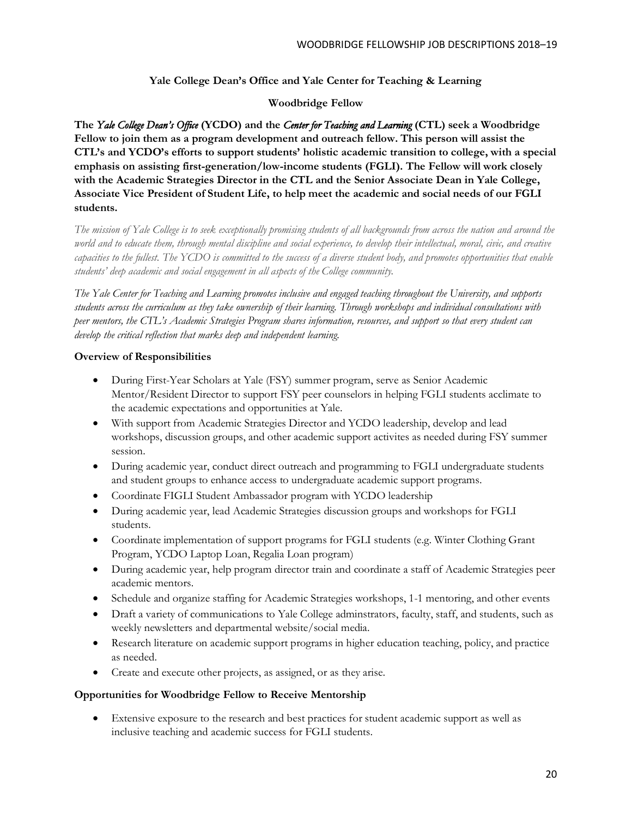# **Yale College Dean's Office and Yale Center for Teaching & Learning**

#### **Woodbridge Fellow**

**The** *Yale College Dean's Office* **(YCDO) and the** *Center for Teaching and Learning* **(CTL) seek a Woodbridge Fellow to join them as a program development and outreach fellow. This person will assist the CTL's and YCDO's efforts to support students' holistic academic transition to college, with a special emphasis on assisting first-generation/low-income students (FGLI). The Fellow will work closely with the Academic Strategies Director in the CTL and the Senior Associate Dean in Yale College, Associate Vice President of Student Life, to help meet the academic and social needs of our FGLI students.**

*The mission of Yale College is to seek exceptionally promising students of all backgrounds from across the nation and around the world and to educate them, through mental discipline and social experience, to develop their intellectual, moral, civic, and creative capacities to the fullest. The YCDO is committed to the success of a diverse student body, and promotes opportunities that enable students' deep academic and social engagement in all aspects of the College community.*

*The Yale Center for Teaching and Learning promotes inclusive and engaged teaching throughout the University, and supports students across the curriculum as they take ownership of their learning. Through workshops and individual consultations with peer mentors, the CTL's Academic Strategies Program shares information, resources, and support so that every student can develop the critical reflection that marks deep and independent learning.*

#### **Overview of Responsibilities**

- During First-Year Scholars at Yale (FSY) summer program, serve as Senior Academic Mentor/Resident Director to support FSY peer counselors in helping FGLI students acclimate to the academic expectations and opportunities at Yale.
- With support from Academic Strategies Director and YCDO leadership, develop and lead workshops, discussion groups, and other academic support activites as needed during FSY summer session.
- During academic year, conduct direct outreach and programming to FGLI undergraduate students and student groups to enhance access to undergraduate academic support programs.
- Coordinate FIGLI Student Ambassador program with YCDO leadership
- During academic year, lead Academic Strategies discussion groups and workshops for FGLI students.
- Coordinate implementation of support programs for FGLI students (e.g. Winter Clothing Grant Program, YCDO Laptop Loan, Regalia Loan program)
- During academic year, help program director train and coordinate a staff of Academic Strategies peer academic mentors.
- Schedule and organize staffing for Academic Strategies workshops, 1-1 mentoring, and other events
- Draft a variety of communications to Yale College adminstrators, faculty, staff, and students, such as weekly newsletters and departmental website/social media.
- Research literature on academic support programs in higher education teaching, policy, and practice as needed.
- Create and execute other projects, as assigned, or as they arise.

#### **Opportunities for Woodbridge Fellow to Receive Mentorship**

• Extensive exposure to the research and best practices for student academic support as well as inclusive teaching and academic success for FGLI students.